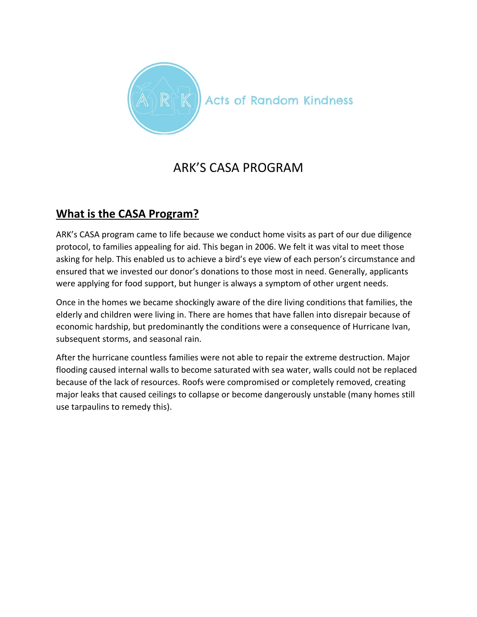

## ARK'S CASA PROGRAM

## **What is the CASA Program?**

ARK's CASA program came to life because we conduct home visits as part of our due diligence protocol, to families appealing for aid. This began in 2006. We felt it was vital to meet those asking for help. This enabled us to achieve a bird's eye view of each person's circumstance and ensured that we invested our donor's donations to those most in need. Generally, applicants were applying for food support, but hunger is always a symptom of other urgent needs.

Once in the homes we became shockingly aware of the dire living conditions that families, the elderly and children were living in. There are homes that have fallen into disrepair because of economic hardship, but predominantly the conditions were a consequence of Hurricane Ivan, subsequent storms, and seasonal rain.

After the hurricane countless families were not able to repair the extreme destruction. Major flooding caused internal walls to become saturated with sea water, walls could not be replaced because of the lack of resources. Roofs were compromised or completely removed, creating major leaks that caused ceilings to collapse or become dangerously unstable (many homes still use tarpaulins to remedy this).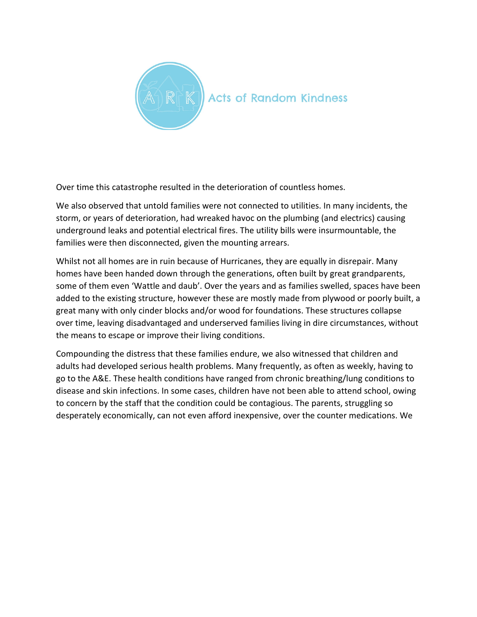

Over time this catastrophe resulted in the deterioration of countless homes.

We also observed that untold families were not connected to utilities. In many incidents, the storm, or years of deterioration, had wreaked havoc on the plumbing (and electrics) causing underground leaks and potential electrical fires. The utility bills were insurmountable, the families were then disconnected, given the mounting arrears.

Whilst not all homes are in ruin because of Hurricanes, they are equally in disrepair. Many homes have been handed down through the generations, often built by great grandparents, some of them even 'Wattle and daub'. Over the years and as families swelled, spaces have been added to the existing structure, however these are mostly made from plywood or poorly built, a great many with only cinder blocks and/or wood for foundations. These structures collapse over time, leaving disadvantaged and underserved families living in dire circumstances, without the means to escape or improve their living conditions.

Compounding the distress that these families endure, we also witnessed that children and adults had developed serious health problems. Many frequently, as often as weekly, having to go to the A&E. These health conditions have ranged from chronic breathing/lung conditions to disease and skin infections. In some cases, children have not been able to attend school, owing to concern by the staff that the condition could be contagious. The parents, struggling so desperately economically, can not even afford inexpensive, over the counter medications. We